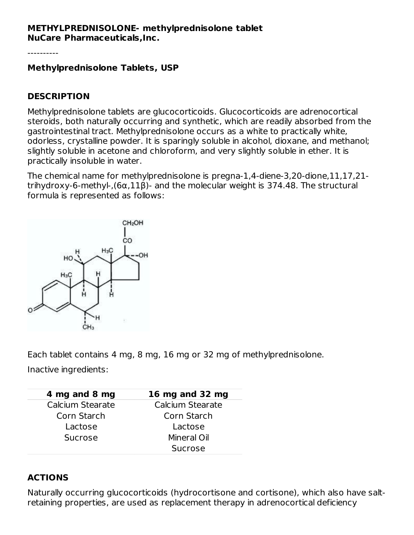#### **METHYLPREDNISOLONE- methylprednisolone tablet NuCare Pharmaceuticals,Inc.**

#### **Methylprednisolone Tablets, USP**

#### **DESCRIPTION**

Methylprednisolone tablets are glucocorticoids. Glucocorticoids are adrenocortical steroids, both naturally occurring and synthetic, which are readily absorbed from the gastrointestinal tract. Methylprednisolone occurs as a white to practically white, odorless, crystalline powder. It is sparingly soluble in alcohol, dioxane, and methanol; slightly soluble in acetone and chloroform, and very slightly soluble in ether. It is practically insoluble in water.

The chemical name for methylprednisolone is pregna-1,4-diene-3,20-dione,11,17,21 trihydroxy-6-methyl-,(6α,11β)- and the molecular weight is 374.48. The structural formula is represented as follows:



Each tablet contains 4 mg, 8 mg, 16 mg or 32 mg of methylprednisolone.

Inactive ingredients:

| 4 mg and 8 mg    | 16 mg and 32 mg  |
|------------------|------------------|
| Calcium Stearate | Calcium Stearate |
| Corn Starch      | Corn Starch      |
| Lactose          | Lactose          |
| <b>Sucrose</b>   | Mineral Oil      |
|                  | Sucrose          |

### **ACTIONS**

Naturally occurring glucocorticoids (hydrocortisone and cortisone), which also have saltretaining properties, are used as replacement therapy in adrenocortical deficiency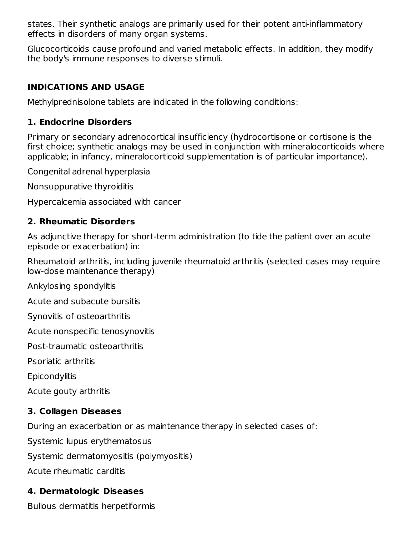states. Their synthetic analogs are primarily used for their potent anti-inflammatory effects in disorders of many organ systems.

Glucocorticoids cause profound and varied metabolic effects. In addition, they modify the body's immune responses to diverse stimuli.

### **INDICATIONS AND USAGE**

Methylprednisolone tablets are indicated in the following conditions:

### **1. Endocrine Disorders**

Primary or secondary adrenocortical insufficiency (hydrocortisone or cortisone is the first choice; synthetic analogs may be used in conjunction with mineralocorticoids where applicable; in infancy, mineralocorticoid supplementation is of particular importance).

Congenital adrenal hyperplasia

Nonsuppurative thyroiditis

Hypercalcemia associated with cancer

### **2. Rheumatic Disorders**

As adjunctive therapy for short-term administration (to tide the patient over an acute episode or exacerbation) in:

Rheumatoid arthritis, including juvenile rheumatoid arthritis (selected cases may require low-dose maintenance therapy)

Ankylosing spondylitis

Acute and subacute bursitis

Synovitis of osteoarthritis

Acute nonspecific tenosynovitis

Post-traumatic osteoarthritis

Psoriatic arthritis

**Epicondylitis** 

Acute gouty arthritis

### **3. Collagen Diseases**

During an exacerbation or as maintenance therapy in selected cases of:

Systemic lupus erythematosus

Systemic dermatomyositis (polymyositis)

Acute rheumatic carditis

# **4. Dermatologic Diseases**

Bullous dermatitis herpetiformis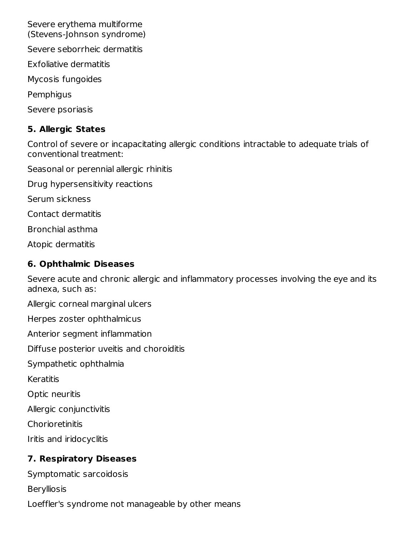Severe erythema multiforme (Stevens-Johnson syndrome)

Severe seborrheic dermatitis

Exfoliative dermatitis

Mycosis fungoides

Pemphigus

Severe psoriasis

### **5. Allergic States**

Control of severe or incapacitating allergic conditions intractable to adequate trials of conventional treatment:

Seasonal or perennial allergic rhinitis

Drug hypersensitivity reactions

Serum sickness

Contact dermatitis

Bronchial asthma

Atopic dermatitis

#### **6. Ophthalmic Diseases**

Severe acute and chronic allergic and inflammatory processes involving the eye and its adnexa, such as:

Allergic corneal marginal ulcers

Herpes zoster ophthalmicus

Anterior segment inflammation

Diffuse posterior uveitis and choroiditis

Sympathetic ophthalmia

**Keratitis** 

Optic neuritis

Allergic conjunctivitis

**Chorioretinitis** 

Iritis and iridocyclitis

### **7. Respiratory Diseases**

Symptomatic sarcoidosis

**Berylliosis** 

Loeffler's syndrome not manageable by other means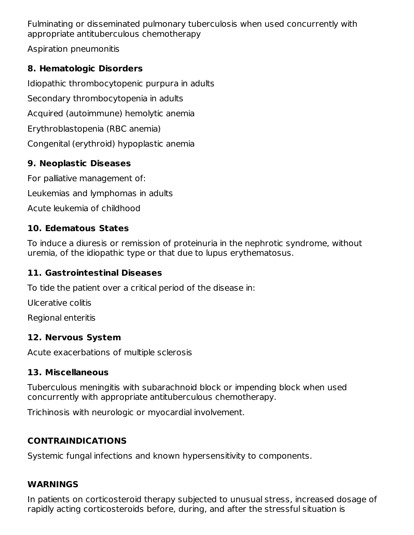Fulminating or disseminated pulmonary tuberculosis when used concurrently with appropriate antituberculous chemotherapy

Aspiration pneumonitis

# **8. Hematologic Disorders**

Idiopathic thrombocytopenic purpura in adults Secondary thrombocytopenia in adults Acquired (autoimmune) hemolytic anemia Erythroblastopenia (RBC anemia) Congenital (erythroid) hypoplastic anemia

# **9. Neoplastic Diseases**

For palliative management of: Leukemias and lymphomas in adults Acute leukemia of childhood

# **10. Edematous States**

To induce a diuresis or remission of proteinuria in the nephrotic syndrome, without uremia, of the idiopathic type or that due to lupus erythematosus.

### **11. Gastrointestinal Diseases**

To tide the patient over a critical period of the disease in:

Ulcerative colitis

Regional enteritis

# **12. Nervous System**

Acute exacerbations of multiple sclerosis

# **13. Miscellaneous**

Tuberculous meningitis with subarachnoid block or impending block when used concurrently with appropriate antituberculous chemotherapy.

Trichinosis with neurologic or myocardial involvement.

# **CONTRAINDICATIONS**

Systemic fungal infections and known hypersensitivity to components.

# **WARNINGS**

In patients on corticosteroid therapy subjected to unusual stress, increased dosage of rapidly acting corticosteroids before, during, and after the stressful situation is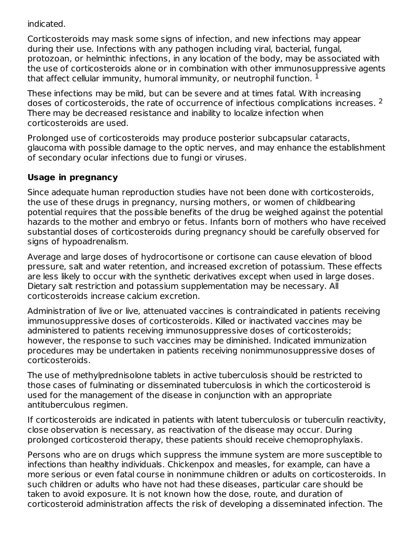indicated.

Corticosteroids may mask some signs of infection, and new infections may appear during their use. Infections with any pathogen including viral, bacterial, fungal, protozoan, or helminthic infections, in any location of the body, may be associated with the use of corticosteroids alone or in combination with other immunosuppressive agents that affect cellular immunity, humoral immunity, or neutrophil function.  $^{\rm 1}$ 

These infections may be mild, but can be severe and at times fatal. With increasing doses of corticosteroids, the rate of occurrence of infectious complications increases. <sup>2</sup> There may be decreased resistance and inability to localize infection when corticosteroids are used.

Prolonged use of corticosteroids may produce posterior subcapsular cataracts, glaucoma with possible damage to the optic nerves, and may enhance the establishment of secondary ocular infections due to fungi or viruses.

### **Usage in pregnancy**

Since adequate human reproduction studies have not been done with corticosteroids, the use of these drugs in pregnancy, nursing mothers, or women of childbearing potential requires that the possible benefits of the drug be weighed against the potential hazards to the mother and embryo or fetus. Infants born of mothers who have received substantial doses of corticosteroids during pregnancy should be carefully observed for signs of hypoadrenalism.

Average and large doses of hydrocortisone or cortisone can cause elevation of blood pressure, salt and water retention, and increased excretion of potassium. These effects are less likely to occur with the synthetic derivatives except when used in large doses. Dietary salt restriction and potassium supplementation may be necessary. All corticosteroids increase calcium excretion.

Administration of live or live, attenuated vaccines is contraindicated in patients receiving immunosuppressive doses of corticosteroids. Killed or inactivated vaccines may be administered to patients receiving immunosuppressive doses of corticosteroids; however, the response to such vaccines may be diminished. Indicated immunization procedures may be undertaken in patients receiving nonimmunosuppressive doses of corticosteroids.

The use of methylprednisolone tablets in active tuberculosis should be restricted to those cases of fulminating or disseminated tuberculosis in which the corticosteroid is used for the management of the disease in conjunction with an appropriate antituberculous regimen.

If corticosteroids are indicated in patients with latent tuberculosis or tuberculin reactivity, close observation is necessary, as reactivation of the disease may occur. During prolonged corticosteroid therapy, these patients should receive chemoprophylaxis.

Persons who are on drugs which suppress the immune system are more susceptible to infections than healthy individuals. Chickenpox and measles, for example, can have a more serious or even fatal course in nonimmune children or adults on corticosteroids. In such children or adults who have not had these diseases, particular care should be taken to avoid exposure. It is not known how the dose, route, and duration of corticosteroid administration affects the risk of developing a disseminated infection. The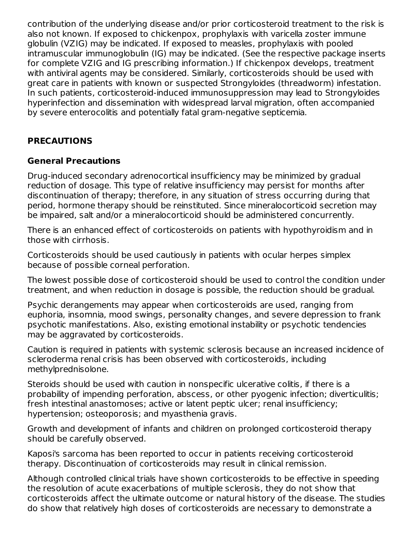contribution of the underlying disease and/or prior corticosteroid treatment to the risk is also not known. If exposed to chickenpox, prophylaxis with varicella zoster immune globulin (VZIG) may be indicated. If exposed to measles, prophylaxis with pooled intramuscular immunoglobulin (IG) may be indicated. (See the respective package inserts for complete VZIG and IG prescribing information.) If chickenpox develops, treatment with antiviral agents may be considered. Similarly, corticosteroids should be used with great care in patients with known or suspected Strongyloides (threadworm) infestation. In such patients, corticosteroid-induced immunosuppression may lead to Strongyloides hyperinfection and dissemination with widespread larval migration, often accompanied by severe enterocolitis and potentially fatal gram-negative septicemia.

### **PRECAUTIONS**

### **General Precautions**

Drug-induced secondary adrenocortical insufficiency may be minimized by gradual reduction of dosage. This type of relative insufficiency may persist for months after discontinuation of therapy; therefore, in any situation of stress occurring during that period, hormone therapy should be reinstituted. Since mineralocorticoid secretion may be impaired, salt and/or a mineralocorticoid should be administered concurrently.

There is an enhanced effect of corticosteroids on patients with hypothyroidism and in those with cirrhosis.

Corticosteroids should be used cautiously in patients with ocular herpes simplex because of possible corneal perforation.

The lowest possible dose of corticosteroid should be used to control the condition under treatment, and when reduction in dosage is possible, the reduction should be gradual.

Psychic derangements may appear when corticosteroids are used, ranging from euphoria, insomnia, mood swings, personality changes, and severe depression to frank psychotic manifestations. Also, existing emotional instability or psychotic tendencies may be aggravated by corticosteroids.

Caution is required in patients with systemic sclerosis because an increased incidence of scleroderma renal crisis has been observed with corticosteroids, including methylprednisolone.

Steroids should be used with caution in nonspecific ulcerative colitis, if there is a probability of impending perforation, abscess, or other pyogenic infection; diverticulitis; fresh intestinal anastomoses; active or latent peptic ulcer; renal insufficiency; hypertension; osteoporosis; and myasthenia gravis.

Growth and development of infants and children on prolonged corticosteroid therapy should be carefully observed.

Kaposi's sarcoma has been reported to occur in patients receiving corticosteroid therapy. Discontinuation of corticosteroids may result in clinical remission.

Although controlled clinical trials have shown corticosteroids to be effective in speeding the resolution of acute exacerbations of multiple sclerosis, they do not show that corticosteroids affect the ultimate outcome or natural history of the disease. The studies do show that relatively high doses of corticosteroids are necessary to demonstrate a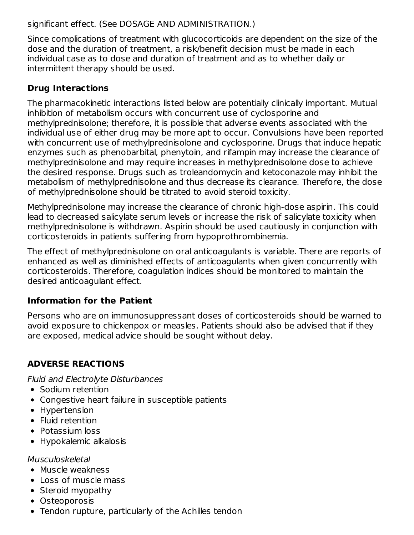significant effect. (See DOSAGE AND ADMINISTRATION.)

Since complications of treatment with glucocorticoids are dependent on the size of the dose and the duration of treatment, a risk/benefit decision must be made in each individual case as to dose and duration of treatment and as to whether daily or intermittent therapy should be used.

# **Drug Interactions**

The pharmacokinetic interactions listed below are potentially clinically important. Mutual inhibition of metabolism occurs with concurrent use of cyclosporine and methylprednisolone; therefore, it is possible that adverse events associated with the individual use of either drug may be more apt to occur. Convulsions have been reported with concurrent use of methylprednisolone and cyclosporine. Drugs that induce hepatic enzymes such as phenobarbital, phenytoin, and rifampin may increase the clearance of methylprednisolone and may require increases in methylprednisolone dose to achieve the desired response. Drugs such as troleandomycin and ketoconazole may inhibit the metabolism of methylprednisolone and thus decrease its clearance. Therefore, the dose of methylprednisolone should be titrated to avoid steroid toxicity.

Methylprednisolone may increase the clearance of chronic high-dose aspirin. This could lead to decreased salicylate serum levels or increase the risk of salicylate toxicity when methylprednisolone is withdrawn. Aspirin should be used cautiously in conjunction with corticosteroids in patients suffering from hypoprothrombinemia.

The effect of methylprednisolone on oral anticoagulants is variable. There are reports of enhanced as well as diminished effects of anticoagulants when given concurrently with corticosteroids. Therefore, coagulation indices should be monitored to maintain the desired anticoagulant effect.

# **Information for the Patient**

Persons who are on immunosuppressant doses of corticosteroids should be warned to avoid exposure to chickenpox or measles. Patients should also be advised that if they are exposed, medical advice should be sought without delay.

# **ADVERSE REACTIONS**

Fluid and Electrolyte Disturbances

- Sodium retention
- Congestive heart failure in susceptible patients
- Hypertension
- Fluid retention
- Potassium loss
- Hypokalemic alkalosis

### Musculoskeletal

- Muscle weakness
- Loss of muscle mass
- Steroid myopathy
- Osteoporosis
- Tendon rupture, particularly of the Achilles tendon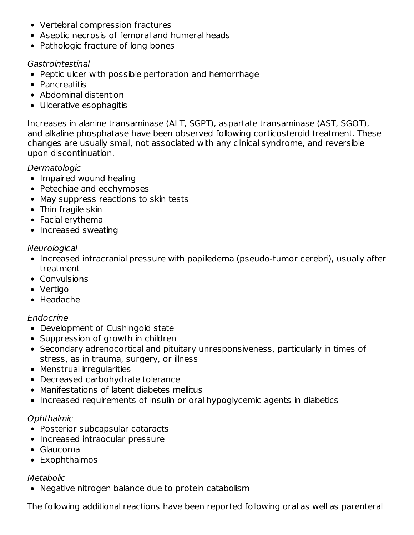- Vertebral compression fractures
- Aseptic necrosis of femoral and humeral heads
- Pathologic fracture of long bones

#### Gastrointestinal

- Peptic ulcer with possible perforation and hemorrhage
- Pancreatitis
- Abdominal distention
- Ulcerative esophagitis

Increases in alanine transaminase (ALT, SGPT), aspartate transaminase (AST, SGOT), and alkaline phosphatase have been observed following corticosteroid treatment. These changes are usually small, not associated with any clinical syndrome, and reversible upon discontinuation.

#### Dermatologic

- Impaired wound healing
- Petechiae and ecchymoses
- May suppress reactions to skin tests
- Thin fragile skin
- Facial erythema
- Increased sweating

#### **Neurological**

- Increased intracranial pressure with papilledema (pseudo-tumor cerebri), usually after treatment
- Convulsions
- Vertigo
- Headache

### Endocrine

- Development of Cushingoid state
- Suppression of growth in children
- Secondary adrenocortical and pituitary unresponsiveness, particularly in times of stress, as in trauma, surgery, or illness
- Menstrual irregularities
- Decreased carbohydrate tolerance
- Manifestations of latent diabetes mellitus
- Increased requirements of insulin or oral hypoglycemic agents in diabetics

### **Ophthalmic**

- Posterior subcapsular cataracts
- Increased intraocular pressure
- Glaucoma
- Exophthalmos

#### Metabolic

Negative nitrogen balance due to protein catabolism

The following additional reactions have been reported following oral as well as parenteral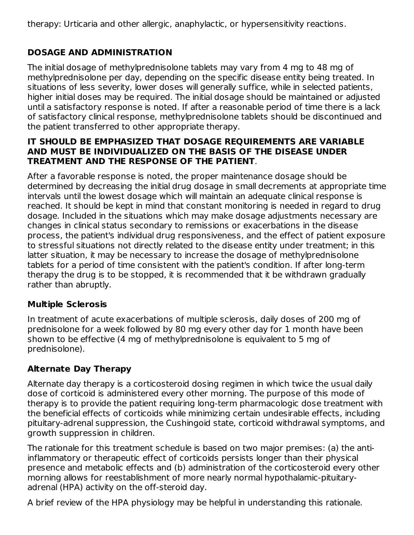therapy: Urticaria and other allergic, anaphylactic, or hypersensitivity reactions.

# **DOSAGE AND ADMINISTRATION**

The initial dosage of methylprednisolone tablets may vary from 4 mg to 48 mg of methylprednisolone per day, depending on the specific disease entity being treated. In situations of less severity, lower doses will generally suffice, while in selected patients, higher initial doses may be required. The initial dosage should be maintained or adjusted until a satisfactory response is noted. If after a reasonable period of time there is a lack of satisfactory clinical response, methylprednisolone tablets should be discontinued and the patient transferred to other appropriate therapy.

#### **IT SHOULD BE EMPHASIZED THAT DOSAGE REQUIREMENTS ARE VARIABLE AND MUST BE INDIVIDUALIZED ON THE BASIS OF THE DISEASE UNDER TREATMENT AND THE RESPONSE OF THE PATIENT**.

After a favorable response is noted, the proper maintenance dosage should be determined by decreasing the initial drug dosage in small decrements at appropriate time intervals until the lowest dosage which will maintain an adequate clinical response is reached. It should be kept in mind that constant monitoring is needed in regard to drug dosage. Included in the situations which may make dosage adjustments necessary are changes in clinical status secondary to remissions or exacerbations in the disease process, the patient's individual drug responsiveness, and the effect of patient exposure to stressful situations not directly related to the disease entity under treatment; in this latter situation, it may be necessary to increase the dosage of methylprednisolone tablets for a period of time consistent with the patient's condition. If after long-term therapy the drug is to be stopped, it is recommended that it be withdrawn gradually rather than abruptly.

### **Multiple Sclerosis**

In treatment of acute exacerbations of multiple sclerosis, daily doses of 200 mg of prednisolone for a week followed by 80 mg every other day for 1 month have been shown to be effective (4 mg of methylprednisolone is equivalent to 5 mg of prednisolone).

# **Alternate Day Therapy**

Alternate day therapy is a corticosteroid dosing regimen in which twice the usual daily dose of corticoid is administered every other morning. The purpose of this mode of therapy is to provide the patient requiring long-term pharmacologic dose treatment with the beneficial effects of corticoids while minimizing certain undesirable effects, including pituitary-adrenal suppression, the Cushingoid state, corticoid withdrawal symptoms, and growth suppression in children.

The rationale for this treatment schedule is based on two major premises: (a) the antiinflammatory or therapeutic effect of corticoids persists longer than their physical presence and metabolic effects and (b) administration of the corticosteroid every other morning allows for reestablishment of more nearly normal hypothalamic-pituitaryadrenal (HPA) activity on the off-steroid day.

A brief review of the HPA physiology may be helpful in understanding this rationale.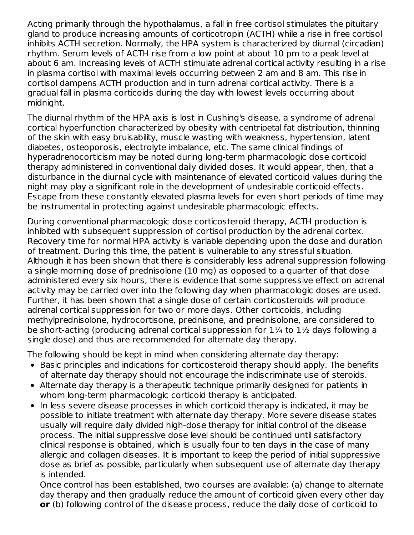Acting primarily through the hypothalamus, a fall in free cortisol stimulates the pituitary gland to produce increasing amounts of corticotropin (ACTH) while a rise in free cortisol inhibits ACTH secretion. Normally, the HPA system is characterized by diurnal (circadian) rhythm. Serum levels of ACTH rise from a low point at about 10 pm to a peak level at about 6 am. Increasing levels of ACTH stimulate adrenal cortical activity resulting in a rise in plasma cortisol with maximal levels occurring between 2 am and 8 am. This rise in cortisol dampens ACTH production and in turn adrenal cortical activity. There is a gradual fall in plasma corticoids during the day with lowest levels occurring about midnight.

The diurnal rhythm of the HPA axis is lost in Cushing's disease, a syndrome of adrenal cortical hyperfunction characterized by obesity with centripetal fat distribution, thinning of the skin with easy bruisability, muscle wasting with weakness, hypertension, latent diabetes, osteoporosis, electrolyte imbalance, etc. The same clinical findings of hyperadrenocorticism may be noted during long-term pharmacologic dose corticoid therapy administered in conventional daily divided doses. It would appear, then, that a disturbance in the diurnal cycle with maintenance of elevated corticoid values during the night may play a significant role in the development of undesirable corticoid effects. Escape from these constantly elevated plasma levels for even short periods of time may be instrumental in protecting against undesirable pharmacologic effects.

During conventional pharmacologic dose corticosteroid therapy, ACTH production is inhibited with subsequent suppression of cortisol production by the adrenal cortex. Recovery time for normal HPA activity is variable depending upon the dose and duration of treatment. During this time, the patient is vulnerable to any stressful situation. Although it has been shown that there is considerably less adrenal suppression following a single morning dose of prednisolone (10 mg) as opposed to a quarter of that dose administered every six hours, there is evidence that some suppressive effect on adrenal activity may be carried over into the following day when pharmacologic doses are used. Further, it has been shown that a single dose of certain corticosteroids will produce adrenal cortical suppression for two or more days. Other corticoids, including methylprednisolone, hydrocortisone, prednisone, and prednisolone, are considered to be short-acting (producing adrenal cortical suppression for  $1\frac{1}{4}$  to  $1\frac{1}{2}$  days following a single dose) and thus are recommended for alternate day therapy.

The following should be kept in mind when considering alternate day therapy:

- Basic principles and indications for corticosteroid therapy should apply. The benefits of alternate day therapy should not encourage the indiscriminate use of steroids.
- Alternate day therapy is a therapeutic technique primarily designed for patients in whom long-term pharmacologic corticoid therapy is anticipated.
- In less severe disease processes in which corticoid therapy is indicated, it may be possible to initiate treatment with alternate day therapy. More severe disease states usually will require daily divided high-dose therapy for initial control of the disease process. The initial suppressive dose level should be continued until satisfactory clinical response is obtained, which is usually four to ten days in the case of many allergic and collagen diseases. It is important to keep the period of initial suppressive dose as brief as possible, particularly when subsequent use of alternate day therapy is intended.

Once control has been established, two courses are available: (a) change to alternate day therapy and then gradually reduce the amount of corticoid given every other day **or** (b) following control of the disease process, reduce the daily dose of corticoid to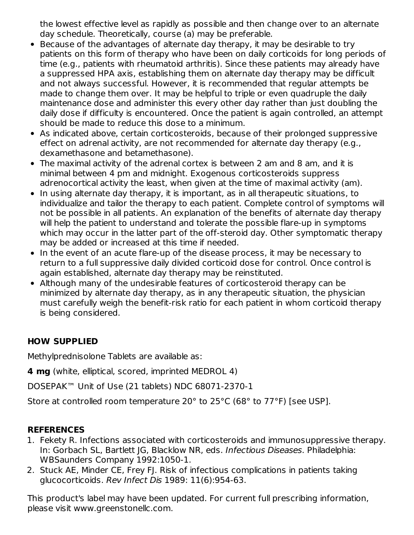the lowest effective level as rapidly as possible and then change over to an alternate day schedule. Theoretically, course (a) may be preferable.

- Because of the advantages of alternate day therapy, it may be desirable to try patients on this form of therapy who have been on daily corticoids for long periods of time (e.g., patients with rheumatoid arthritis). Since these patients may already have a suppressed HPA axis, establishing them on alternate day therapy may be difficult and not always successful. However, it is recommended that regular attempts be made to change them over. It may be helpful to triple or even quadruple the daily maintenance dose and administer this every other day rather than just doubling the daily dose if difficulty is encountered. Once the patient is again controlled, an attempt should be made to reduce this dose to a minimum.
- As indicated above, certain corticosteroids, because of their prolonged suppressive effect on adrenal activity, are not recommended for alternate day therapy (e.g., dexamethasone and betamethasone).
- The maximal activity of the adrenal cortex is between 2 am and 8 am, and it is minimal between 4 pm and midnight. Exogenous corticosteroids suppress adrenocortical activity the least, when given at the time of maximal activity (am).
- In using alternate day therapy, it is important, as in all therapeutic situations, to individualize and tailor the therapy to each patient. Complete control of symptoms will not be possible in all patients. An explanation of the benefits of alternate day therapy will help the patient to understand and tolerate the possible flare-up in symptoms which may occur in the latter part of the off-steroid day. Other symptomatic therapy may be added or increased at this time if needed.
- In the event of an acute flare-up of the disease process, it may be necessary to return to a full suppressive daily divided corticoid dose for control. Once control is again established, alternate day therapy may be reinstituted.
- Although many of the undesirable features of corticosteroid therapy can be minimized by alternate day therapy, as in any therapeutic situation, the physician must carefully weigh the benefit-risk ratio for each patient in whom corticoid therapy is being considered.

# **HOW SUPPLIED**

Methylprednisolone Tablets are available as:

**4 mg** (white, elliptical, scored, imprinted MEDROL 4)

DOSEPAK™ Unit of Use (21 tablets) NDC 68071-2370-1

Store at controlled room temperature 20° to 25°C (68° to 77°F) [see USP].

### **REFERENCES**

- 1. Fekety R. Infections associated with corticosteroids and immunosuppressive therapy. In: Gorbach SL, Bartlett JG, Blacklow NR, eds. Infectious Diseases. Philadelphia: WBSaunders Company 1992:1050-1.
- 2. Stuck AE, Minder CE, Frey FJ. Risk of infectious complications in patients taking glucocorticoids. Rev Infect Dis 1989: 11(6):954-63.

This product's label may have been updated. For current full prescribing information, please visit www.greenstonellc.com.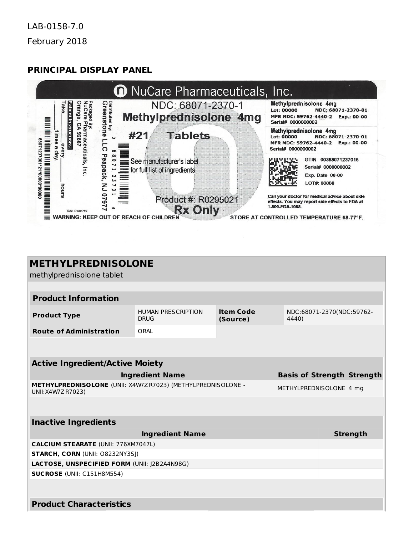LAB-0158-7.0 February 2018

#### **PRINCIPAL DISPLAY PANEL**



| <b>METHYLPREDNISOLONE</b><br>methylprednisolone tablet      |                                                             |                              |                                    |                         |                 |  |  |
|-------------------------------------------------------------|-------------------------------------------------------------|------------------------------|------------------------------------|-------------------------|-----------------|--|--|
|                                                             |                                                             |                              |                                    |                         |                 |  |  |
| <b>Product Information</b>                                  |                                                             |                              |                                    |                         |                 |  |  |
| <b>Product Type</b>                                         | HUMAN PRESCRIPTION<br><b>DRUG</b>                           | <b>Item Code</b><br>(Source) | NDC:68071-2370(NDC:59762-<br>4440) |                         |                 |  |  |
| <b>Route of Administration</b>                              | ORAI                                                        |                              |                                    |                         |                 |  |  |
|                                                             |                                                             |                              |                                    |                         |                 |  |  |
| <b>Active Ingredient/Active Moiety</b>                      |                                                             |                              |                                    |                         |                 |  |  |
| <b>Basis of Strength Strength</b><br><b>Ingredient Name</b> |                                                             |                              |                                    |                         |                 |  |  |
| UNII: X4W7Z R7023)                                          | METHYLPREDNISOLONE (UNII: X4W7ZR7023) (METHYLPREDNISOLONE - |                              |                                    | METHYLPREDNISOLONE 4 mg |                 |  |  |
|                                                             |                                                             |                              |                                    |                         |                 |  |  |
| <b>Inactive Ingredients</b>                                 |                                                             |                              |                                    |                         |                 |  |  |
|                                                             | <b>Ingredient Name</b>                                      |                              |                                    |                         | <b>Strength</b> |  |  |
| <b>CALCIUM STEARATE (UNII: 776XM7047L)</b>                  |                                                             |                              |                                    |                         |                 |  |  |
| <b>STARCH, CORN (UNII: O8232NY3SJ)</b>                      |                                                             |                              |                                    |                         |                 |  |  |
| LACTOSE, UNSPECIFIED FORM (UNII: J2B2A4N98G)                |                                                             |                              |                                    |                         |                 |  |  |
| <b>SUCROSE (UNII: C151H8M554)</b>                           |                                                             |                              |                                    |                         |                 |  |  |
|                                                             |                                                             |                              |                                    |                         |                 |  |  |
| <b>Product Characteristics</b>                              |                                                             |                              |                                    |                         |                 |  |  |